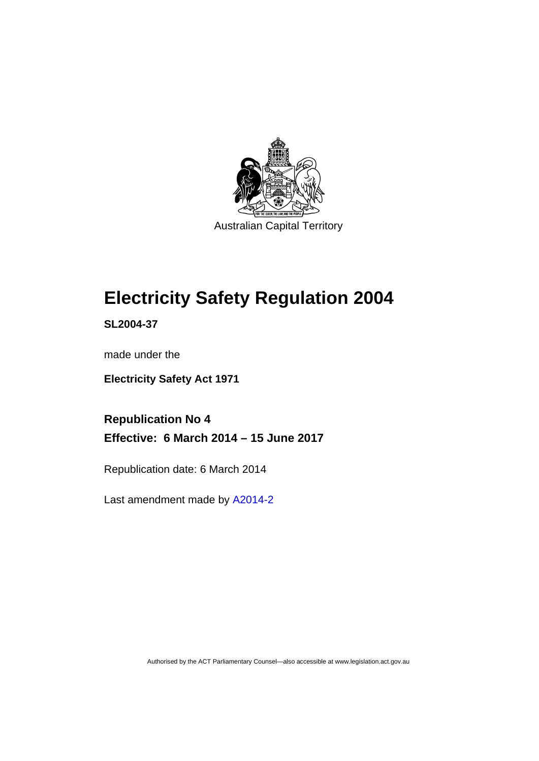

## **Electricity Safety Regulation 2004**

**SL2004-37** 

made under the

**Electricity Safety Act 1971** 

**Republication No 4 Effective: 6 March 2014 – 15 June 2017** 

Republication date: 6 March 2014

Last amendment made by [A2014-2](http://www.legislation.act.gov.au/a/2014-2/default.asp)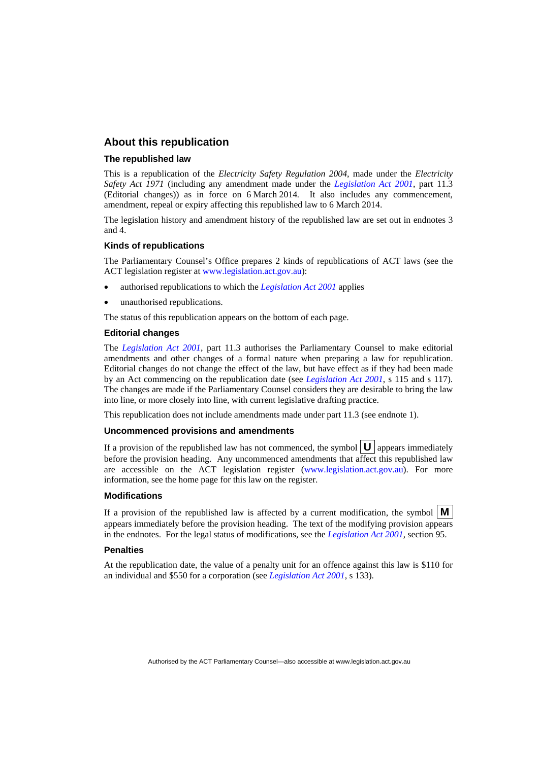### **About this republication**

#### **The republished law**

This is a republication of the *Electricity Safety Regulation 2004*, made under the *Electricity Safety Act 1971* (including any amendment made under the *[Legislation Act 2001](http://www.legislation.act.gov.au/a/2001-14)*, part 11.3 (Editorial changes)) as in force on 6 March 2014*.* It also includes any commencement, amendment, repeal or expiry affecting this republished law to 6 March 2014.

The legislation history and amendment history of the republished law are set out in endnotes 3 and 4.

#### **Kinds of republications**

The Parliamentary Counsel's Office prepares 2 kinds of republications of ACT laws (see the ACT legislation register at [www.legislation.act.gov.au](http://www.legislation.act.gov.au/)):

- authorised republications to which the *[Legislation Act 2001](http://www.legislation.act.gov.au/a/2001-14)* applies
- unauthorised republications.

The status of this republication appears on the bottom of each page.

#### **Editorial changes**

The *[Legislation Act 2001](http://www.legislation.act.gov.au/a/2001-14)*, part 11.3 authorises the Parliamentary Counsel to make editorial amendments and other changes of a formal nature when preparing a law for republication. Editorial changes do not change the effect of the law, but have effect as if they had been made by an Act commencing on the republication date (see *[Legislation Act 2001](http://www.legislation.act.gov.au/a/2001-14)*, s 115 and s 117). The changes are made if the Parliamentary Counsel considers they are desirable to bring the law into line, or more closely into line, with current legislative drafting practice.

This republication does not include amendments made under part 11.3 (see endnote 1).

#### **Uncommenced provisions and amendments**

If a provision of the republished law has not commenced, the symbol  $\mathbf{U}$  appears immediately before the provision heading. Any uncommenced amendments that affect this republished law are accessible on the ACT legislation register [\(www.legislation.act.gov.au\)](http://www.legislation.act.gov.au/). For more information, see the home page for this law on the register.

#### **Modifications**

If a provision of the republished law is affected by a current modification, the symbol  $\mathbf{M}$ appears immediately before the provision heading. The text of the modifying provision appears in the endnotes. For the legal status of modifications, see the *[Legislation Act 2001](http://www.legislation.act.gov.au/a/2001-14)*, section 95.

#### **Penalties**

At the republication date, the value of a penalty unit for an offence against this law is \$110 for an individual and \$550 for a corporation (see *[Legislation Act 2001](http://www.legislation.act.gov.au/a/2001-14)*, s 133).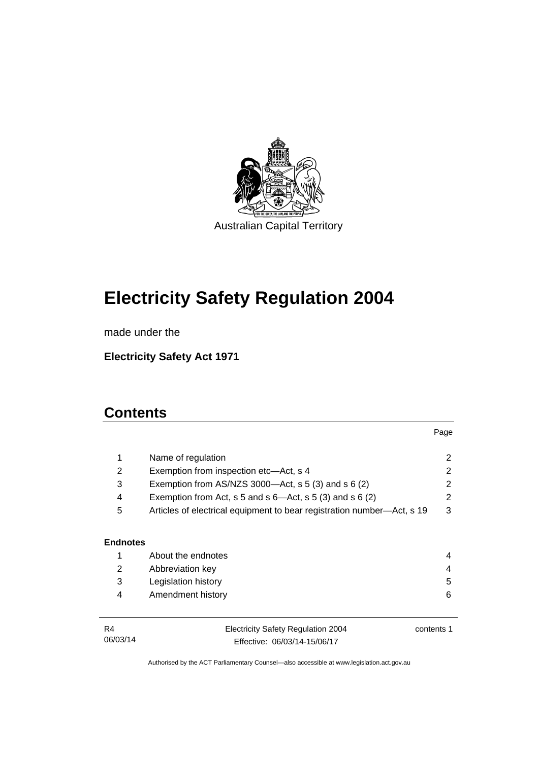

# **Electricity Safety Regulation 2004**

made under the

**Electricity Safety Act 1971** 

## **Contents**

|                 |                                                                        | Page       |  |  |
|-----------------|------------------------------------------------------------------------|------------|--|--|
| 1               | Name of regulation                                                     | 2          |  |  |
| 2               | Exemption from inspection etc-Act, s 4                                 |            |  |  |
| 3               | Exemption from AS/NZS 3000- $Act$ , s 5 (3) and s 6 (2)                |            |  |  |
| 4               | Exemption from Act, s 5 and s $6$ —Act, s 5 (3) and s 6 (2)            |            |  |  |
| 5               | Articles of electrical equipment to bear registration number—Act, s 19 |            |  |  |
|                 |                                                                        |            |  |  |
| <b>Endnotes</b> |                                                                        |            |  |  |
| 1               | About the endnotes                                                     | 4          |  |  |
| 2               | Abbreviation key                                                       |            |  |  |
| 3               | Legislation history                                                    | 5          |  |  |
| 4               | Amendment history                                                      | 6          |  |  |
|                 |                                                                        |            |  |  |
| R4              | <b>Electricity Safety Regulation 2004</b>                              | contents 1 |  |  |
| 06/03/14        | Effective: 06/03/14-15/06/17                                           |            |  |  |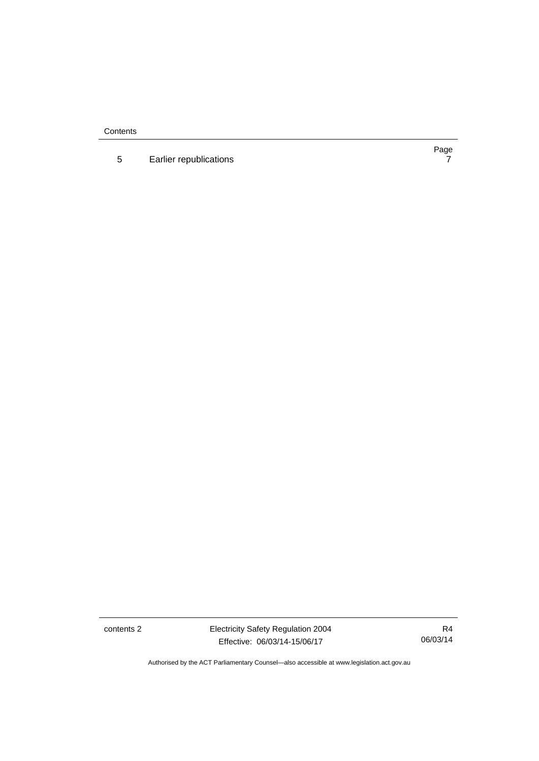**Contents** 

5 [Earlier republications 7](#page-10-0)

Page<br>7

contents 2 Electricity Safety Regulation 2004 Effective: 06/03/14-15/06/17

R4 06/03/14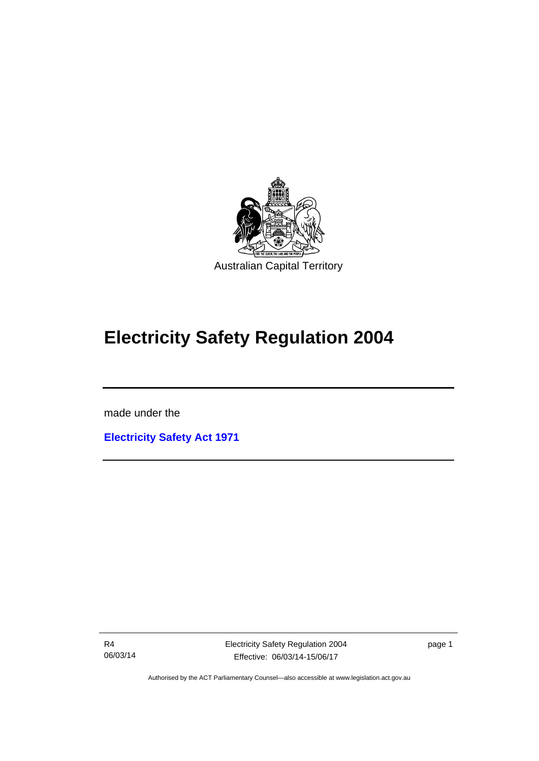

## **Electricity Safety Regulation 2004**

made under the

I

**[Electricity Safety Act 1971](http://www.legislation.act.gov.au/a/1971-30)**

R4 06/03/14 Electricity Safety Regulation 2004 Effective: 06/03/14-15/06/17

page 1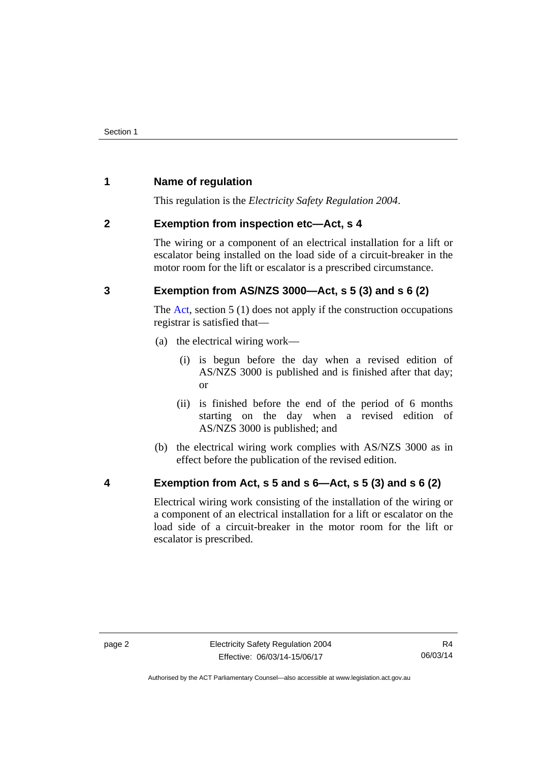## <span id="page-5-0"></span>**1 Name of regulation**

This regulation is the *Electricity Safety Regulation 2004*.

## <span id="page-5-1"></span>**2 Exemption from inspection etc—Act, s 4**

The wiring or a component of an electrical installation for a lift or escalator being installed on the load side of a circuit-breaker in the motor room for the lift or escalator is a prescribed circumstance.

## <span id="page-5-2"></span>**3 Exemption from AS/NZS 3000—Act, s 5 (3) and s 6 (2)**

The [Act](http://www.legislation.act.gov.au/a/1971-30/default.asp), section 5 (1) does not apply if the construction occupations registrar is satisfied that—

- (a) the electrical wiring work—
	- (i) is begun before the day when a revised edition of AS/NZS 3000 is published and is finished after that day; or
	- (ii) is finished before the end of the period of 6 months starting on the day when a revised edition of AS/NZS 3000 is published; and
- (b) the electrical wiring work complies with AS/NZS 3000 as in effect before the publication of the revised edition.
- <span id="page-5-3"></span>

## **4 Exemption from Act, s 5 and s 6—Act, s 5 (3) and s 6 (2)**

Electrical wiring work consisting of the installation of the wiring or a component of an electrical installation for a lift or escalator on the load side of a circuit-breaker in the motor room for the lift or escalator is prescribed.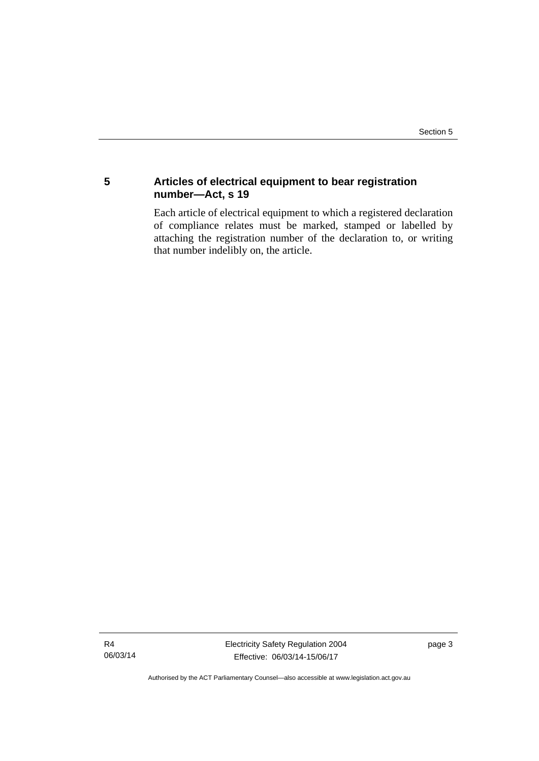## <span id="page-6-0"></span>**5 Articles of electrical equipment to bear registration number—Act, s 19**

Each article of electrical equipment to which a registered declaration of compliance relates must be marked, stamped or labelled by attaching the registration number of the declaration to, or writing that number indelibly on, the article.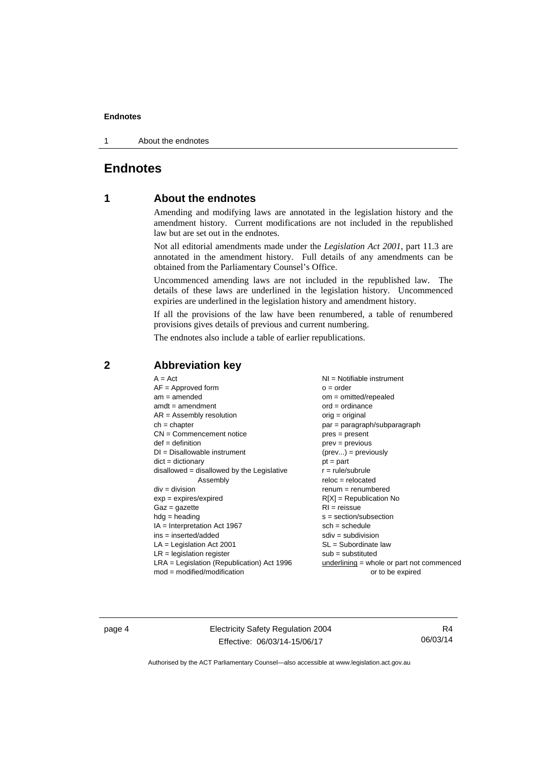1 About the endnotes

## <span id="page-7-0"></span>**Endnotes**

## **1 About the endnotes**

Amending and modifying laws are annotated in the legislation history and the amendment history. Current modifications are not included in the republished law but are set out in the endnotes.

Not all editorial amendments made under the *Legislation Act 2001*, part 11.3 are annotated in the amendment history. Full details of any amendments can be obtained from the Parliamentary Counsel's Office.

Uncommenced amending laws are not included in the republished law. The details of these laws are underlined in the legislation history. Uncommenced expiries are underlined in the legislation history and amendment history.

If all the provisions of the law have been renumbered, a table of renumbered provisions gives details of previous and current numbering.

The endnotes also include a table of earlier republications.

| $A = Act$<br>$AF =$ Approved form<br>$am = amended$<br>$amdt = amendment$<br>$AR = Assembly resolution$<br>$ch = chapter$<br>$CN =$ Commencement notice<br>$def = definition$<br>$DI = Disallowable instrument$<br>$dict = dictionary$<br>disallowed = disallowed by the Legislative<br>Assembly<br>$div = division$<br>$exp = expires/expired$<br>$Gaz = gazette$<br>$hdg =$ heading<br>$IA = Interpretation Act 1967$<br>$ins = inserted/added$<br>$LA =$ Legislation Act 2001<br>$LR =$ legislation register | NI = Notifiable instrument<br>$o = order$<br>$om = omitted/repealed$<br>$ord = ordinance$<br>$orig = original$<br>$par = paragraph/subparagraph$<br>$pres = present$<br>$prev = previous$<br>$(\text{prev}) = \text{previously}$<br>$pt = part$<br>$r = rule/subrule$<br>$reloc = relocated$<br>$renum = renumbered$<br>$R[X]$ = Republication No<br>$RI = reissue$<br>$s = section/subsection$<br>$sch = schedule$<br>$sdiv = subdivision$<br>$SL = Subordinate$ law<br>$sub =$ substituted |
|-----------------------------------------------------------------------------------------------------------------------------------------------------------------------------------------------------------------------------------------------------------------------------------------------------------------------------------------------------------------------------------------------------------------------------------------------------------------------------------------------------------------|----------------------------------------------------------------------------------------------------------------------------------------------------------------------------------------------------------------------------------------------------------------------------------------------------------------------------------------------------------------------------------------------------------------------------------------------------------------------------------------------|
| $LRA =$ Legislation (Republication) Act 1996                                                                                                                                                                                                                                                                                                                                                                                                                                                                    | $underlining = whole or part not commenced$                                                                                                                                                                                                                                                                                                                                                                                                                                                  |
| $mod = modified/modification$                                                                                                                                                                                                                                                                                                                                                                                                                                                                                   | or to be expired                                                                                                                                                                                                                                                                                                                                                                                                                                                                             |

## <span id="page-7-2"></span>**2 Abbreviation key**

page 4 Electricity Safety Regulation 2004 Effective: 06/03/14-15/06/17

R4 06/03/14

<span id="page-7-1"></span>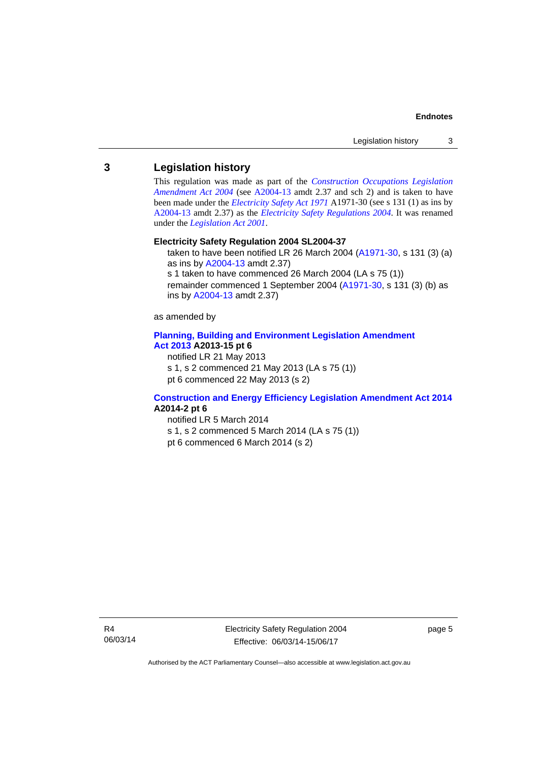## <span id="page-8-0"></span>**3 Legislation history**

This regulation was made as part of the *[Construction Occupations Legislation](http://www.legislation.act.gov.au/a/2004-13)  [Amendment Act 2004](http://www.legislation.act.gov.au/a/2004-13)* (see [A2004-13](http://www.legislation.act.gov.au/a/2004-13) amdt 2.37 and sch 2) and is taken to have been made under the *[Electricity Safety Act 1971](http://www.legislation.act.gov.au/a/1971-30)* A1971-30 (see s 131 (1) as ins by [A2004-13](http://www.legislation.act.gov.au/a/2004-13) amdt 2.37) as the *[Electricity Safety Regulations 2004](http://www.legislation.act.gov.au/sl/2004-37)*. It was renamed under the *[Legislation Act 2001](http://www.legislation.act.gov.au/a/2001-14)*.

#### **Electricity Safety Regulation 2004 SL2004-37**

taken to have been notified LR 26 March 2004 [\(A1971-30,](http://www.legislation.act.gov.au/a/1971-30) s 131 (3) (a) as ins by [A2004-13](http://www.legislation.act.gov.au/a/2004-13) amdt 2.37) s 1 taken to have commenced 26 March 2004 (LA s 75 (1))

remainder commenced 1 September 2004 [\(A1971-30,](http://www.legislation.act.gov.au/a/1971-30) s 131 (3) (b) as ins by [A2004-13](http://www.legislation.act.gov.au/a/2004-13) amdt 2.37)

as amended by

#### **[Planning, Building and Environment Legislation Amendment](http://www.legislation.act.gov.au/a/2013-15)  [Act 2013](http://www.legislation.act.gov.au/a/2013-15) A2013-15 pt 6**

notified LR 21 May 2013

s 1, s 2 commenced 21 May 2013 (LA s 75 (1))

pt 6 commenced 22 May 2013 (s 2)

#### **[Construction and Energy Efficiency Legislation Amendment Act 2014](http://www.legislation.act.gov.au/a/2014-2) A2014-2 pt 6**

notified LR 5 March 2014 s 1, s 2 commenced 5 March 2014 (LA s 75 (1)) pt 6 commenced 6 March 2014 (s 2)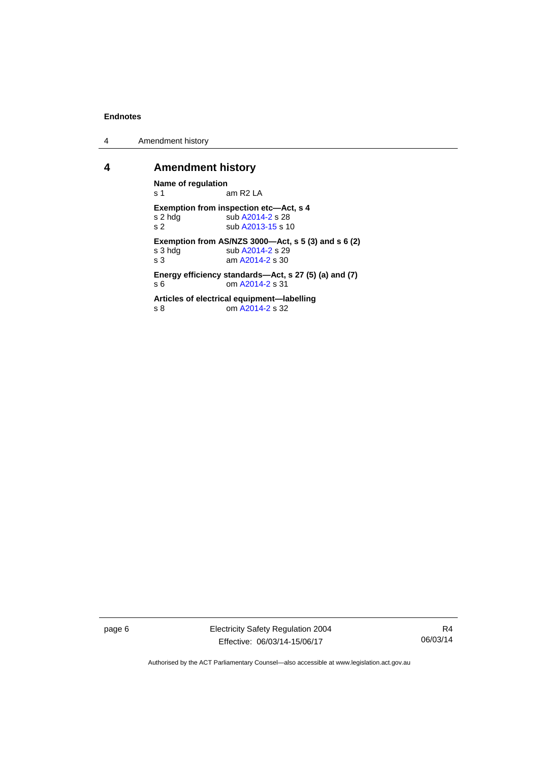4 Amendment history

## <span id="page-9-0"></span>**4 Amendment history**

**Name of regulation**<br>
s 1 am R2 LA **Exemption from inspection etc—Act, s 4**  s 2 hdg sub [A2014-2](http://www.legislation.act.gov.au/a/2014-2) s 28<br>s 2 sub A2013-15 s 1 sub [A2013-15](http://www.legislation.act.gov.au/a/2013-15/default.asp) s 10 **Exemption from AS/NZS 3000—Act, s 5 (3) and s 6 (2)**  s 3 hdg sub [A2014-2](http://www.legislation.act.gov.au/a/2014-2) s 29 s 3 am [A2014-2](http://www.legislation.act.gov.au/a/2014-2) s 30 **Energy efficiency standards—Act, s 27 (5) (a) and (7)**  s 6 om [A2014-2](http://www.legislation.act.gov.au/a/2014-2) s 31 **Articles of electrical equipment—labelling**  s 8 om [A2014-2](http://www.legislation.act.gov.au/a/2014-2) s 32

page 6 Electricity Safety Regulation 2004 Effective: 06/03/14-15/06/17

R4 06/03/14